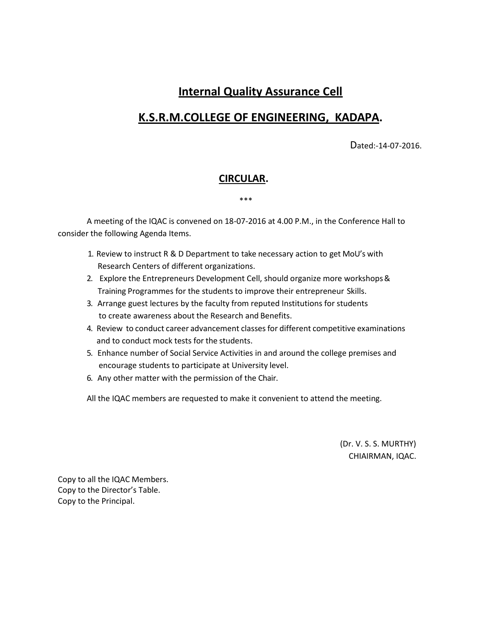# **Internal Quality Assurance Cell**

# **K.S.R.M.COLLEGE OF ENGINEERING, KADAPA.**

Dated:-14-07-2016.

### **CIRCULAR.**

\*\*\*

A meeting of the IQAC is convened on 18-07-2016 at 4.00 P.M., in the Conference Hall to consider the following Agenda Items.

- 1. Review to instruct R & D Department to take necessary action to get MoU's with Research Centers of different organizations.
- 2. Explore the Entrepreneurs Development Cell, should organize more workshops & Training Programmes for the students to improve their entrepreneur Skills.
- 3. Arrange guest lectures by the faculty from reputed Institutions for students to create awareness about the Research and Benefits.
- 4. Review to conduct career advancement classesfor different competitive examinations and to conduct mock tests for the students.
- 5. Enhance number of Social Service Activities in and around the college premises and encourage students to participate at University level.
- 6. Any other matter with the permission of the Chair.

All the IQAC members are requested to make it convenient to attend the meeting.

(Dr. V. S. S. MURTHY) CHIAIRMAN, IQAC.

Copy to all the IQAC Members. Copy to the Director's Table. Copy to the Principal.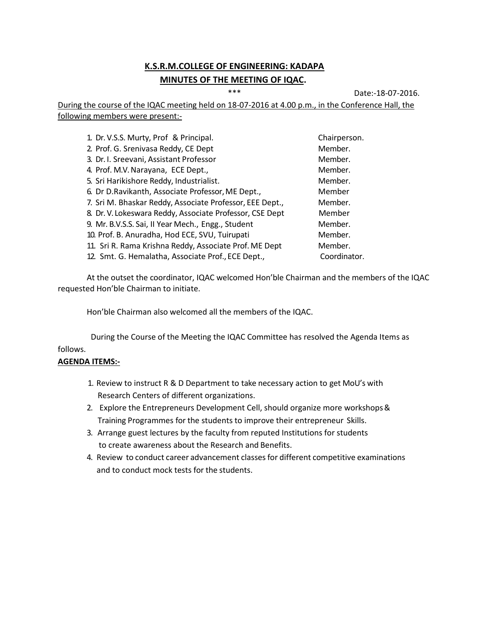## **K.S.R.M.COLLEGE OF ENGINEERING: KADAPA MINUTES OF THE MEETING OF IQAC.**

\*\*\* Date:-18-07-2016.

During the course of the IQAC meeting held on 18-07-2016 at 4.00 p.m., in the Conference Hall, the following members were present:-

| 1. Dr. V.S.S. Murty, Prof & Principal.                   | Chairperson. |
|----------------------------------------------------------|--------------|
| 2. Prof. G. Srenivasa Reddy, CE Dept                     | Member.      |
| 3. Dr. I. Sreevani, Assistant Professor                  | Member.      |
| 4. Prof. M.V. Narayana, ECE Dept.,                       | Member.      |
| 5. Sri Harikishore Reddy, Industrialist.                 | Member.      |
| 6. Dr D.Ravikanth, Associate Professor, ME Dept.,        | Member       |
| 7. Sri M. Bhaskar Reddy, Associate Professor, EEE Dept., | Member.      |
| 8. Dr. V. Lokeswara Reddy, Associate Professor, CSE Dept | Member       |
| 9. Mr. B.V.S.S. Sai, II Year Mech., Engg., Student       | Member.      |
| 10. Prof. B. Anuradha, Hod ECE, SVU, Tuirupati           | Member.      |
| 11. Sri R. Rama Krishna Reddy, Associate Prof. ME Dept   | Member.      |
| 12. Smt. G. Hemalatha, Associate Prof., ECE Dept.,       | Coordinator. |
|                                                          |              |

At the outset the coordinator, IQAC welcomed Hon'ble Chairman and the members of the IQAC requested Hon'ble Chairman to initiate.

Hon'ble Chairman also welcomed all the members of the IQAC.

During the Course of the Meeting the IQAC Committee has resolved the Agenda Items as follows.

### **AGENDA ITEMS:-**

- 1. Review to instruct R & D Department to take necessary action to get MoU's with Research Centers of different organizations.
- 2. Explore the Entrepreneurs Development Cell, should organize more workshops& Training Programmes for the students to improve their entrepreneur Skills.
- 3. Arrange guest lectures by the faculty from reputed Institutions for students to create awareness about the Research and Benefits.
- 4. Review to conduct career advancement classesfor different competitive examinations and to conduct mock tests for the students.